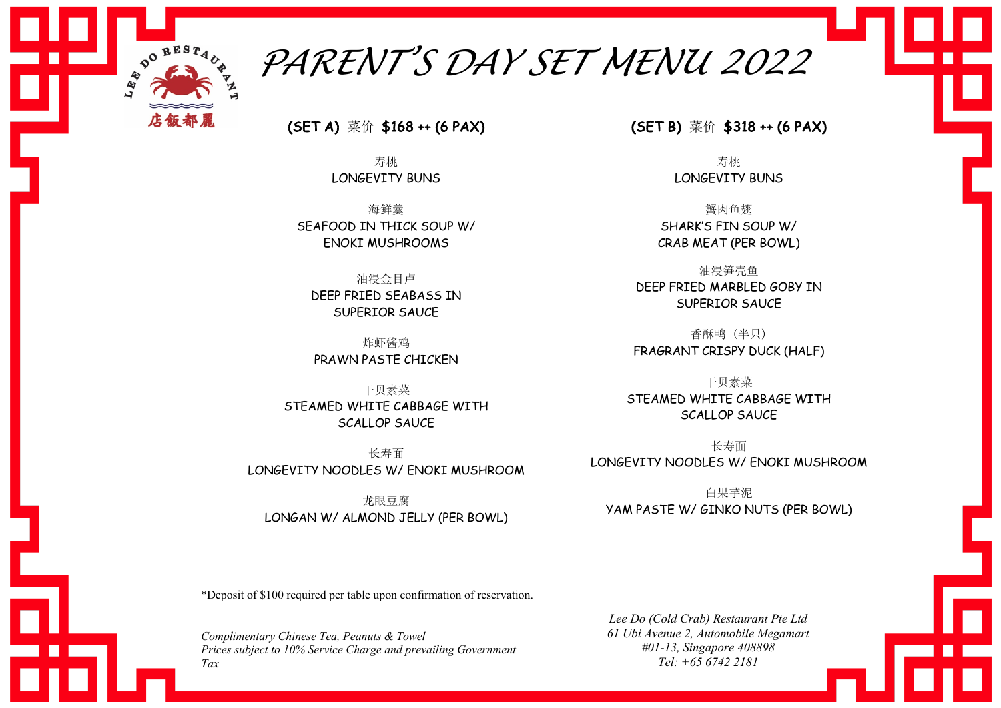

*PARENT'S DAY SET MENU 2022*

(SET A) 菜价 \$168 ++ (6 PAX)

寿桃 LONGEVITY BUNS

海鲜羹 SEAFOOD IN THICK SOUP W/ ENOKI MUSHROOMS

油浸金目卢 DEEP FRIED SEABASS IN SUPERIOR SAUCE

炸虾酱鸡 PRAWN PASTE CHICKEN

干贝素菜 STEAMED WHITE CABBAGE WITH SCALLOP SAUCE

长寿面 LONGEVITY NOODLES W/ ENOKI MUSHROOM

龙眼豆腐 LONGAN W/ ALMOND JELLY (PER BOWL) (SET B) 菜价 \$318 ++ (6 PAX)

寿桃 LONGEVITY BUNS

蟹肉鱼翅 SHARK'S FIN SOUP W/ CRAB MEAT (PER BOWL)

油浸笋壳鱼 DEEP FRIED MARBLED GOBY IN SUPERIOR SAUCE

香酥鸭 (半只) FRAGRANT CRISPY DUCK (HALF)

干贝素菜 STEAMED WHITE CABBAGE WITH SCALLOP SAUCE

长寿面 LONGEVITY NOODLES W/ ENOKI MUSHROOM

白果芋泥 YAM PASTE W/ GINKO NUTS (PER BOWL)

\*Deposit of \$100 required per table upon confirmation of reservation.

*Complimentary Chinese Tea, Peanuts & Towel Prices subject to 10% Service Charge and prevailing Government Tax* 

*Lee Do (Cold Crab) Restaurant Pte Ltd 61 Ubi Avenue 2, Automobile Megamart #01-13, Singapore 408898 Tel: +65 6742 2181*